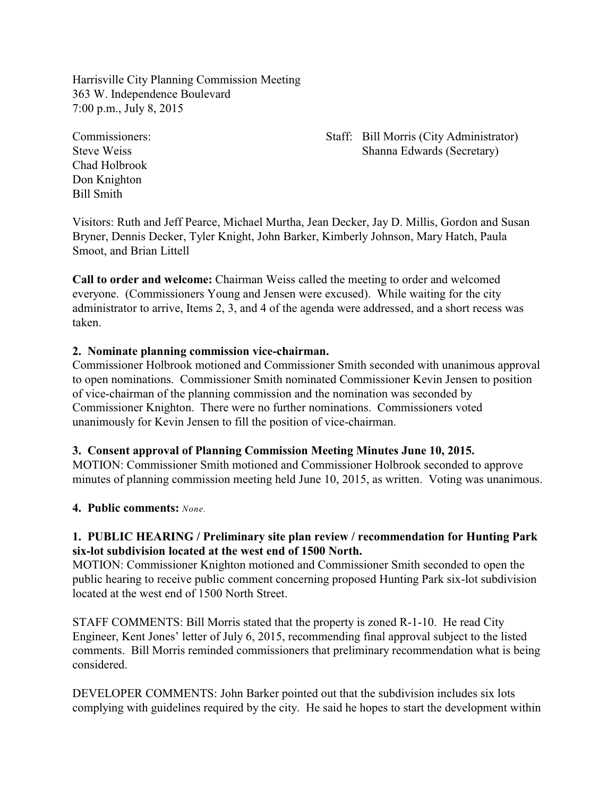Harrisville City Planning Commission Meeting 363 W. Independence Boulevard 7:00 p.m., July 8, 2015

Chad Holbrook Don Knighton Bill Smith

## Commissioners: Staff: Bill Morris (City Administrator) Steve Weiss Shanna Edwards (Secretary)

Visitors: Ruth and Jeff Pearce, Michael Murtha, Jean Decker, Jay D. Millis, Gordon and Susan Bryner, Dennis Decker, Tyler Knight, John Barker, Kimberly Johnson, Mary Hatch, Paula Smoot, and Brian Littell

**Call to order and welcome:** Chairman Weiss called the meeting to order and welcomed everyone. (Commissioners Young and Jensen were excused). While waiting for the city administrator to arrive, Items 2, 3, and 4 of the agenda were addressed, and a short recess was taken.

# **2. Nominate planning commission vice-chairman.**

Commissioner Holbrook motioned and Commissioner Smith seconded with unanimous approval to open nominations. Commissioner Smith nominated Commissioner Kevin Jensen to position of vice-chairman of the planning commission and the nomination was seconded by Commissioner Knighton. There were no further nominations. Commissioners voted unanimously for Kevin Jensen to fill the position of vice-chairman.

# **3. Consent approval of Planning Commission Meeting Minutes June 10, 2015.**

MOTION: Commissioner Smith motioned and Commissioner Holbrook seconded to approve minutes of planning commission meeting held June 10, 2015, as written. Voting was unanimous.

# **4. Public comments:** *None.*

# **1. PUBLIC HEARING / Preliminary site plan review / recommendation for Hunting Park six-lot subdivision located at the west end of 1500 North.**

MOTION: Commissioner Knighton motioned and Commissioner Smith seconded to open the public hearing to receive public comment concerning proposed Hunting Park six-lot subdivision located at the west end of 1500 North Street.

STAFF COMMENTS: Bill Morris stated that the property is zoned R-1-10. He read City Engineer, Kent Jones' letter of July 6, 2015, recommending final approval subject to the listed comments. Bill Morris reminded commissioners that preliminary recommendation what is being considered.

DEVELOPER COMMENTS: John Barker pointed out that the subdivision includes six lots complying with guidelines required by the city. He said he hopes to start the development within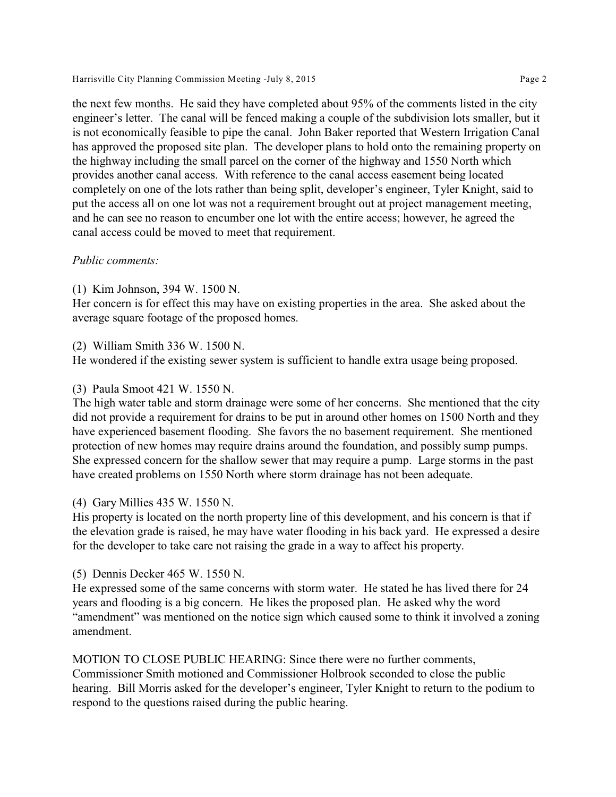Harrisville City Planning Commission Meeting -July 8, 2015 Page 2

the next few months. He said they have completed about 95% of the comments listed in the city engineer's letter. The canal will be fenced making a couple of the subdivision lots smaller, but it is not economically feasible to pipe the canal. John Baker reported that Western Irrigation Canal has approved the proposed site plan. The developer plans to hold onto the remaining property on the highway including the small parcel on the corner of the highway and 1550 North which provides another canal access. With reference to the canal access easement being located completely on one of the lots rather than being split, developer's engineer, Tyler Knight, said to put the access all on one lot was not a requirement brought out at project management meeting, and he can see no reason to encumber one lot with the entire access; however, he agreed the canal access could be moved to meet that requirement.

## *Public comments:*

(1) Kim Johnson, 394 W. 1500 N.

Her concern is for effect this may have on existing properties in the area. She asked about the average square footage of the proposed homes.

#### (2) William Smith 336 W. 1500 N.

He wondered if the existing sewer system is sufficient to handle extra usage being proposed.

#### (3) Paula Smoot 421 W. 1550 N.

The high water table and storm drainage were some of her concerns. She mentioned that the city did not provide a requirement for drains to be put in around other homes on 1500 North and they have experienced basement flooding. She favors the no basement requirement. She mentioned protection of new homes may require drains around the foundation, and possibly sump pumps. She expressed concern for the shallow sewer that may require a pump. Large storms in the past have created problems on 1550 North where storm drainage has not been adequate.

## (4) Gary Millies 435 W. 1550 N.

His property is located on the north property line of this development, and his concern is that if the elevation grade is raised, he may have water flooding in his back yard. He expressed a desire for the developer to take care not raising the grade in a way to affect his property.

## (5) Dennis Decker 465 W. 1550 N.

He expressed some of the same concerns with storm water. He stated he has lived there for 24 years and flooding is a big concern. He likes the proposed plan. He asked why the word "amendment" was mentioned on the notice sign which caused some to think it involved a zoning amendment.

MOTION TO CLOSE PUBLIC HEARING: Since there were no further comments, Commissioner Smith motioned and Commissioner Holbrook seconded to close the public hearing. Bill Morris asked for the developer's engineer, Tyler Knight to return to the podium to respond to the questions raised during the public hearing.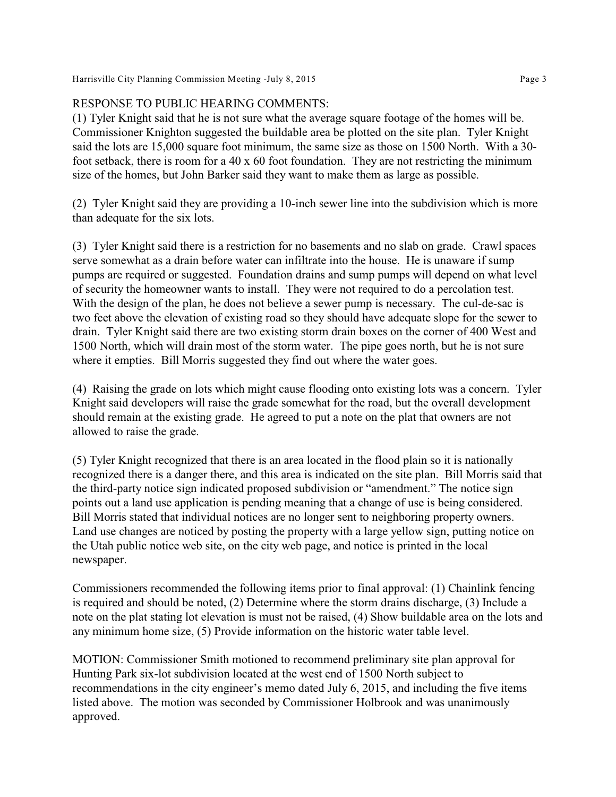# RESPONSE TO PUBLIC HEARING COMMENTS:

(1) Tyler Knight said that he is not sure what the average square footage of the homes will be. Commissioner Knighton suggested the buildable area be plotted on the site plan. Tyler Knight said the lots are 15,000 square foot minimum, the same size as those on 1500 North. With a 30 foot setback, there is room for a 40 x 60 foot foundation. They are not restricting the minimum size of the homes, but John Barker said they want to make them as large as possible.

(2) Tyler Knight said they are providing a 10-inch sewer line into the subdivision which is more than adequate for the six lots.

(3) Tyler Knight said there is a restriction for no basements and no slab on grade. Crawl spaces serve somewhat as a drain before water can infiltrate into the house. He is unaware if sump pumps are required or suggested. Foundation drains and sump pumps will depend on what level of security the homeowner wants to install. They were not required to do a percolation test. With the design of the plan, he does not believe a sewer pump is necessary. The cul-de-sac is two feet above the elevation of existing road so they should have adequate slope for the sewer to drain. Tyler Knight said there are two existing storm drain boxes on the corner of 400 West and 1500 North, which will drain most of the storm water. The pipe goes north, but he is not sure where it empties. Bill Morris suggested they find out where the water goes.

(4) Raising the grade on lots which might cause flooding onto existing lots was a concern. Tyler Knight said developers will raise the grade somewhat for the road, but the overall development should remain at the existing grade. He agreed to put a note on the plat that owners are not allowed to raise the grade.

(5) Tyler Knight recognized that there is an area located in the flood plain so it is nationally recognized there is a danger there, and this area is indicated on the site plan. Bill Morris said that the third-party notice sign indicated proposed subdivision or "amendment." The notice sign points out a land use application is pending meaning that a change of use is being considered. Bill Morris stated that individual notices are no longer sent to neighboring property owners. Land use changes are noticed by posting the property with a large yellow sign, putting notice on the Utah public notice web site, on the city web page, and notice is printed in the local newspaper.

Commissioners recommended the following items prior to final approval: (1) Chainlink fencing is required and should be noted, (2) Determine where the storm drains discharge, (3) Include a note on the plat stating lot elevation is must not be raised, (4) Show buildable area on the lots and any minimum home size, (5) Provide information on the historic water table level.

MOTION: Commissioner Smith motioned to recommend preliminary site plan approval for Hunting Park six-lot subdivision located at the west end of 1500 North subject to recommendations in the city engineer's memo dated July 6, 2015, and including the five items listed above. The motion was seconded by Commissioner Holbrook and was unanimously approved.